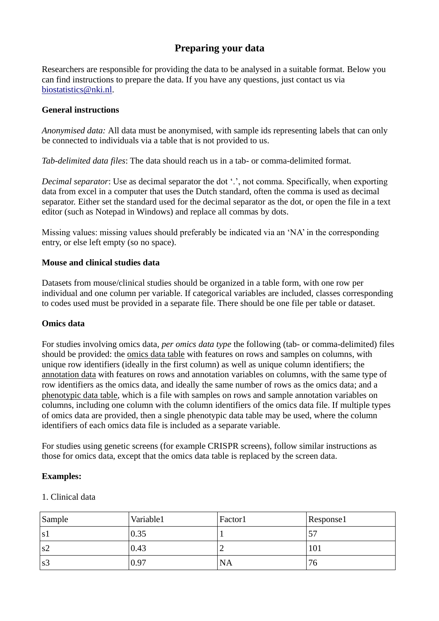# **Preparing your data**

Researchers are responsible for providing the data to be analysed in a suitable format. Below you can find instructions to prepare the data. If you have any questions, just contact us via [biostatistics@nki.nl.](mailto:biostatistics@nki.nl)

## **General instructions**

*Anonymised data:* All data must be anonymised, with sample ids representing labels that can only be connected to individuals via a table that is not provided to us.

*Tab-delimited data files*: The data should reach us in a tab- or comma-delimited format.

*Decimal separator*: Use as decimal separator the dot '.', not comma. Specifically, when exporting data from excel in a computer that uses the Dutch standard, often the comma is used as decimal separator. Either set the standard used for the decimal separator as the dot, or open the file in a text editor (such as Notepad in Windows) and replace all commas by dots.

Missing values: missing values should preferably be indicated via an 'NA' in the corresponding entry, or else left empty (so no space).

### **Mouse and clinical studies data**

Datasets from mouse/clinical studies should be organized in a table form, with one row per individual and one column per variable. If categorical variables are included, classes corresponding to codes used must be provided in a separate file. There should be one file per table or dataset.

#### **Omics data**

For studies involving omics data, *per omics data type* the following (tab- or comma-delimited) files should be provided: the omics data table with features on rows and samples on columns, with unique row identifiers (ideally in the first column) as well as unique column identifiers; the annotation data with features on rows and annotation variables on columns, with the same type of row identifiers as the omics data, and ideally the same number of rows as the omics data; and a phenotypic data table, which is a file with samples on rows and sample annotation variables on columns, including one column with the column identifiers of the omics data file. If multiple types of omics data are provided, then a single phenotypic data table may be used, where the column identifiers of each omics data file is included as a separate variable.

For studies using genetic screens (for example CRISPR screens), follow similar instructions as those for omics data, except that the omics data table is replaced by the screen data.

#### **Examples:**

#### 1. Clinical data

| Sample         | Variable1 | Factor1   | Response1 |
|----------------|-----------|-----------|-----------|
| -S I           | 0.35      |           | $5-$<br>◡ |
| s2             | 0.43      |           | 101       |
| s <sub>3</sub> | 0.97      | <b>NA</b> | 76        |